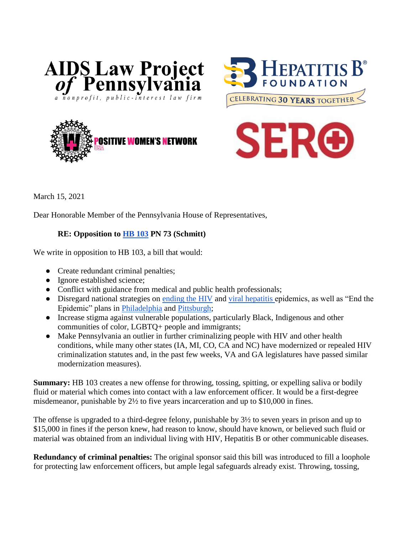







March 15, 2021

Dear Honorable Member of the Pennsylvania House of Representatives,

## **RE: Opposition to [HB 103](https://www.legis.state.pa.us/cfdocs/billinfo/billinfo.cfm?syear=2021&sind=0&body=H&type=B&bn=103) PN 73 (Schmitt)**

We write in opposition to HB 103, a bill that would:

- Create redundant criminal penalties;
- Ignore established science;
- Conflict with guidance from medical and public health professionals;
- Disregard national strategies on [ending the HIV](https://www.hiv.gov/federal-response/hiv-national-strategic-plan/hiv-plan-2021-2025) and [viral hepatitis e](https://www.hhs.gov/sites/default/files/Viral-Hepatitis-National-Strategic-Plan-2021-2025.pdf)pidemics, as well as "End the Epidemic" plans in [Philadelphia](https://www.phila.gov/media/20201201165516/Ending-the-HIV-Epidemic-in-Philadelphia-A-Community-Plan.pdf) and [Pittsburgh;](http://www.aidsfreepittsburgh.org/about.php)
- Increase stigma against vulnerable populations, particularly Black, Indigenous and other communities of color, LGBTQ+ people and immigrants;
- Make Pennsylvania an outlier in further criminalizing people with HIV and other health conditions, while many other states (IA, MI, CO, CA and NC) have modernized or repealed HIV criminalization statutes and, in the past few weeks, VA and GA legislatures have passed similar modernization measures).

**Summary:** HB 103 creates a new offense for throwing, tossing, spitting, or expelling saliva or bodily fluid or material which comes into contact with a law enforcement officer. It would be a first-degree misdemeanor, punishable by 2½ to five years incarceration and up to \$10,000 in fines.

The offense is upgraded to a third-degree felony, punishable by 3½ to seven years in prison and up to \$15,000 in fines if the person knew, had reason to know, should have known, or believed such fluid or material was obtained from an individual living with HIV, Hepatitis B or other communicable diseases.

**Redundancy of criminal penalties:** The original sponsor said this bill was introduced to fill a loophole for protecting law enforcement officers, but ample legal safeguards already exist. Throwing, tossing,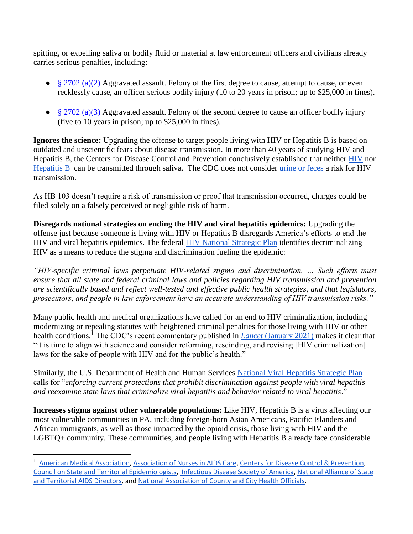spitting, or expelling saliva or bodily fluid or material at law enforcement officers and civilians already carries serious penalties, including:

- [§ 2702 \(a\)\(2\)](https://www.legis.state.pa.us/cfdocs/legis/LI/consCheck.cfm?txtType=HTM&ttl=18&div=0&chpt=27&sctn=2&subsctn=0) Aggravated assault. Felony of the first degree to cause, attempt to cause, or even recklessly cause, an officer serious bodily injury (10 to 20 years in prison; up to \$25,000 in fines).
- $\bullet$  [§ 2702 \(a\)\(3\)](https://www.legis.state.pa.us/cfdocs/legis/LI/consCheck.cfm?txtType=HTM&ttl=18&div=0&chpt=27&sctn=2&subsctn=0) Aggravated assault. Felony of the second degree to cause an officer bodily injury (five to 10 years in prison; up to \$25,000 in fines).

**Ignores the science:** Upgrading the offense to target people living with HIV or Hepatitis B is based on outdated and unscientific fears about disease transmission. In more than 40 years of studying HIV and Hepatitis B, the Centers for Disease Control and Prevention conclusively established that neither [HIV](https://www.cdc.gov/hiv/basics/hiv-transmission/not-transmitted.html) nor [Hepatitis B](https://www.cdc.gov/hepatitis/hbv/bfaq.htm) can be transmitted through saliva. The CDC does not consider [urine or feces](https://www.cdc.gov/hiv/basics/hiv-transmission/body-fluids.html) a risk for HIV transmission.

As HB 103 doesn't require a risk of transmission or proof that transmission occurred, charges could be filed solely on a falsely perceived or negligible risk of harm.

**Disregards national strategies on ending the HIV and viral hepatitis epidemics:** Upgrading the offense just because someone is living with HIV or Hepatitis B disregards America's efforts to end the HIV and viral hepatitis epidemics. The federal [HIV National Strategic Plan](https://www.hiv.gov/federal-response/hiv-national-strategic-plan/hiv-plan-2021-2025) identifies decriminalizing HIV as a means to reduce the stigma and discrimination fueling the epidemic:

*"HIV-specific criminal laws perpetuate HIV-related stigma and discrimination. … Such efforts must ensure that all state and federal criminal laws and policies regarding HIV transmission and prevention are scientifically based and reflect well-tested and effective public health strategies, and that legislators, prosecutors, and people in law enforcement have an accurate understanding of HIV transmission risks."*

Many public health and medical organizations have called for an end to HIV criminalization, including modernizing or repealing statutes with heightened criminal penalties for those living with HIV or other health conditions.<sup>1</sup> The CDC's recent commentary published in *Lancet* [\(January 2021\)](https://www.thelancet.com/journals/lanhiv/article/PIIS2352-3018(20)30333-7/fulltext) makes it clear that "it is time to align with science and consider reforming, rescinding, and revising [HIV criminalization] laws for the sake of people with HIV and for the public's health."

Similarly, the U.S. Department of Health and Human Services [National Viral Hepatitis Strategic Plan](https://www.hhs.gov/sites/default/files/Viral-Hepatitis-National-Strategic-Plan-2021-2025.pdf) calls for "*enforcing current protections that prohibit discrimination against people with viral hepatitis and reexamine state laws that criminalize viral hepatitis and behavior related to viral hepatitis*."

**Increases stigma against other vulnerable populations:** Like HIV, Hepatitis B is a virus affecting our most vulnerable communities in PA, including foreign-born Asian Americans, Pacific Islanders and African immigrants, as well as those impacted by the opioid crisis, those living with HIV and the LGBTQ+ community. These communities, and people living with Hepatitis B already face considerable

 $\overline{\phantom{a}}$ 

<sup>&</sup>lt;sup>1</sup> [American Medical Association,](https://www.seroproject.com/wp-content/uploads/2017/04/AMA-Resolution.pdf) [Association of Nurses in AIDS Care,](https://www.seroproject.com/wp-content/uploads/2017/04/ANAC_PS_Criminalization_December12014.pdf) [Centers for Disease Control & Prevention,](https://www.cdc.gov/nchhstp/dear_colleague/2021/dcl-021121-HIV-Commentary.html) [Council on State and Territorial Epidemiologists,](https://cdn.ymaws.com/www.cste.org/resource/resmgr/ps/positionstatement2020/Interim-20-ID-05_HIV_Final.pdf) [Infectious Disease Society of America,](https://www.seroproject.com/wp-content/uploads/2017/04/HIVMA-IDSA-Communicable-Disease-Criminalization-Statement-Final.pdf) [National Alliance of State](https://www.seroproject.com/wp-content/uploads/2017/04/114641_2011311_NASTAD-Statement-on-Criminalization-Final.pdf)  [and Territorial AIDS Directors,](https://www.seroproject.com/wp-content/uploads/2017/04/114641_2011311_NASTAD-Statement-on-Criminalization-Final.pdf) and [National Association of County and City Health Officials.](https://www.seroproject.com/wp-content/uploads/2017/04/NACCHOStigma-and-Discrimination-Against-Persons-with-Communicable-Diseases.pdf)